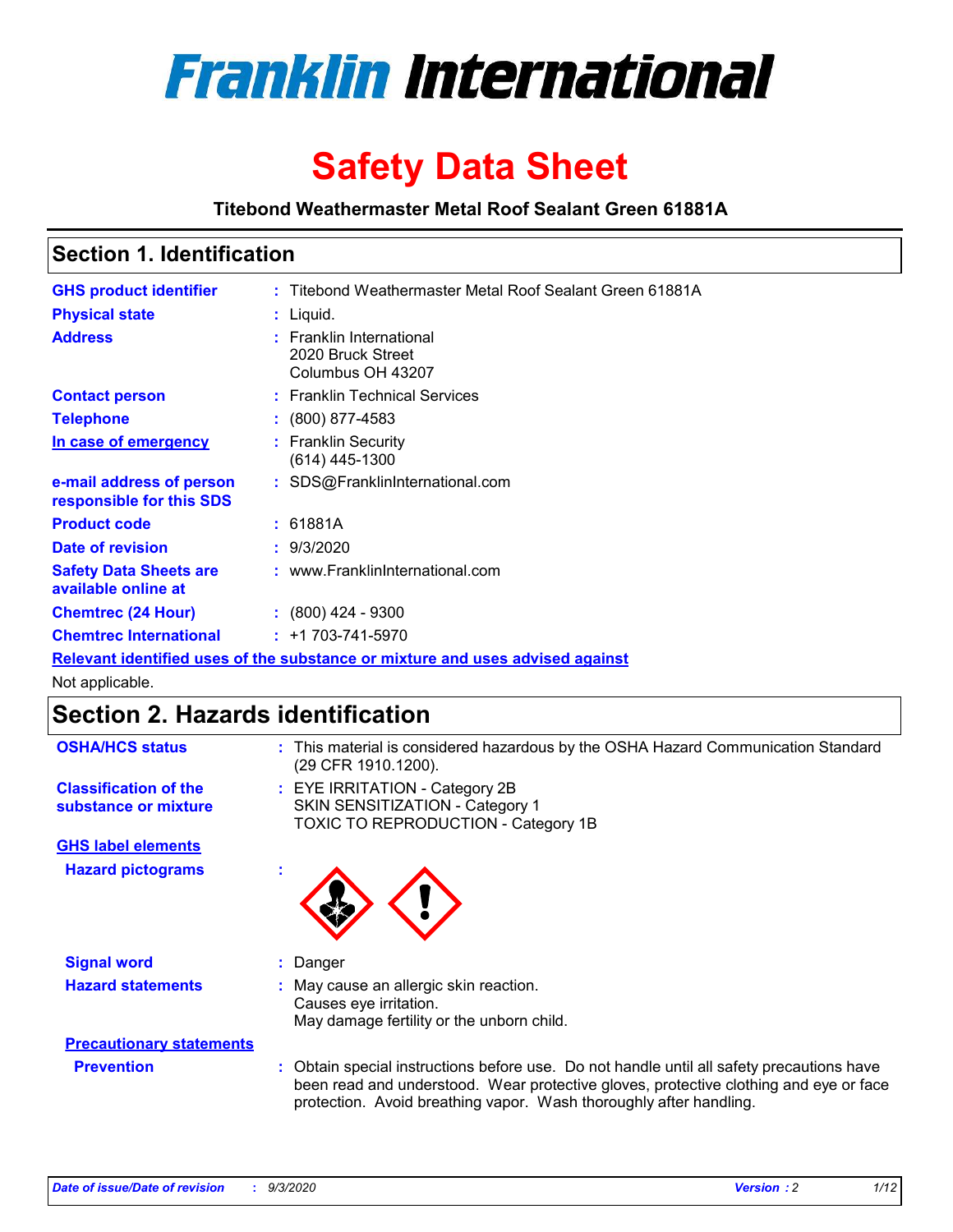

# **Safety Data Sheet**

**Titebond Weathermaster Metal Roof Sealant Green 61881A**

### **Section 1. Identification**

| <b>GHS product identifier</b>                                                 |  | : Titebond Weathermaster Metal Roof Sealant Green 61881A           |  |
|-------------------------------------------------------------------------------|--|--------------------------------------------------------------------|--|
| <b>Physical state</b>                                                         |  | $:$ Liquid.                                                        |  |
| <b>Address</b>                                                                |  | : Franklin International<br>2020 Bruck Street<br>Columbus OH 43207 |  |
| <b>Contact person</b>                                                         |  | : Franklin Technical Services                                      |  |
| <b>Telephone</b>                                                              |  | $\div$ (800) 877-4583                                              |  |
| In case of emergency                                                          |  | : Franklin Security<br>(614) 445-1300                              |  |
| e-mail address of person<br>responsible for this SDS                          |  | : SDS@FranklinInternational.com                                    |  |
| <b>Product code</b>                                                           |  | : 61881A                                                           |  |
| Date of revision                                                              |  | : 9/3/2020                                                         |  |
| <b>Safety Data Sheets are</b><br>available online at                          |  | : www.FranklinInternational.com                                    |  |
| <b>Chemtrec (24 Hour)</b>                                                     |  | $\div$ (800) 424 - 9300                                            |  |
| <b>Chemtrec International</b>                                                 |  | $: +1703 - 741 - 5970$                                             |  |
| Relevant identified uses of the substance or mixture and uses advised against |  |                                                                    |  |

Not applicable.

### **Section 2. Hazards identification**

| <b>OSHA/HCS status</b>                               |    | : This material is considered hazardous by the OSHA Hazard Communication Standard<br>(29 CFR 1910.1200).                                                                                                                                                 |  |  |  |
|------------------------------------------------------|----|----------------------------------------------------------------------------------------------------------------------------------------------------------------------------------------------------------------------------------------------------------|--|--|--|
| <b>Classification of the</b><br>substance or mixture |    | : EYE IRRITATION - Category 2B<br>SKIN SENSITIZATION - Category 1<br>TOXIC TO REPRODUCTION - Category 1B                                                                                                                                                 |  |  |  |
| <b>GHS label elements</b>                            |    |                                                                                                                                                                                                                                                          |  |  |  |
| <b>Hazard pictograms</b>                             | ×. |                                                                                                                                                                                                                                                          |  |  |  |
| <b>Signal word</b>                                   | ÷. | Danger                                                                                                                                                                                                                                                   |  |  |  |
| <b>Hazard statements</b>                             |    | May cause an allergic skin reaction.<br>Causes eye irritation.<br>May damage fertility or the unborn child.                                                                                                                                              |  |  |  |
| <b>Precautionary statements</b>                      |    |                                                                                                                                                                                                                                                          |  |  |  |
| <b>Prevention</b>                                    |    | : Obtain special instructions before use. Do not handle until all safety precautions have<br>been read and understood. Wear protective gloves, protective clothing and eye or face<br>protection. Avoid breathing vapor. Wash thoroughly after handling. |  |  |  |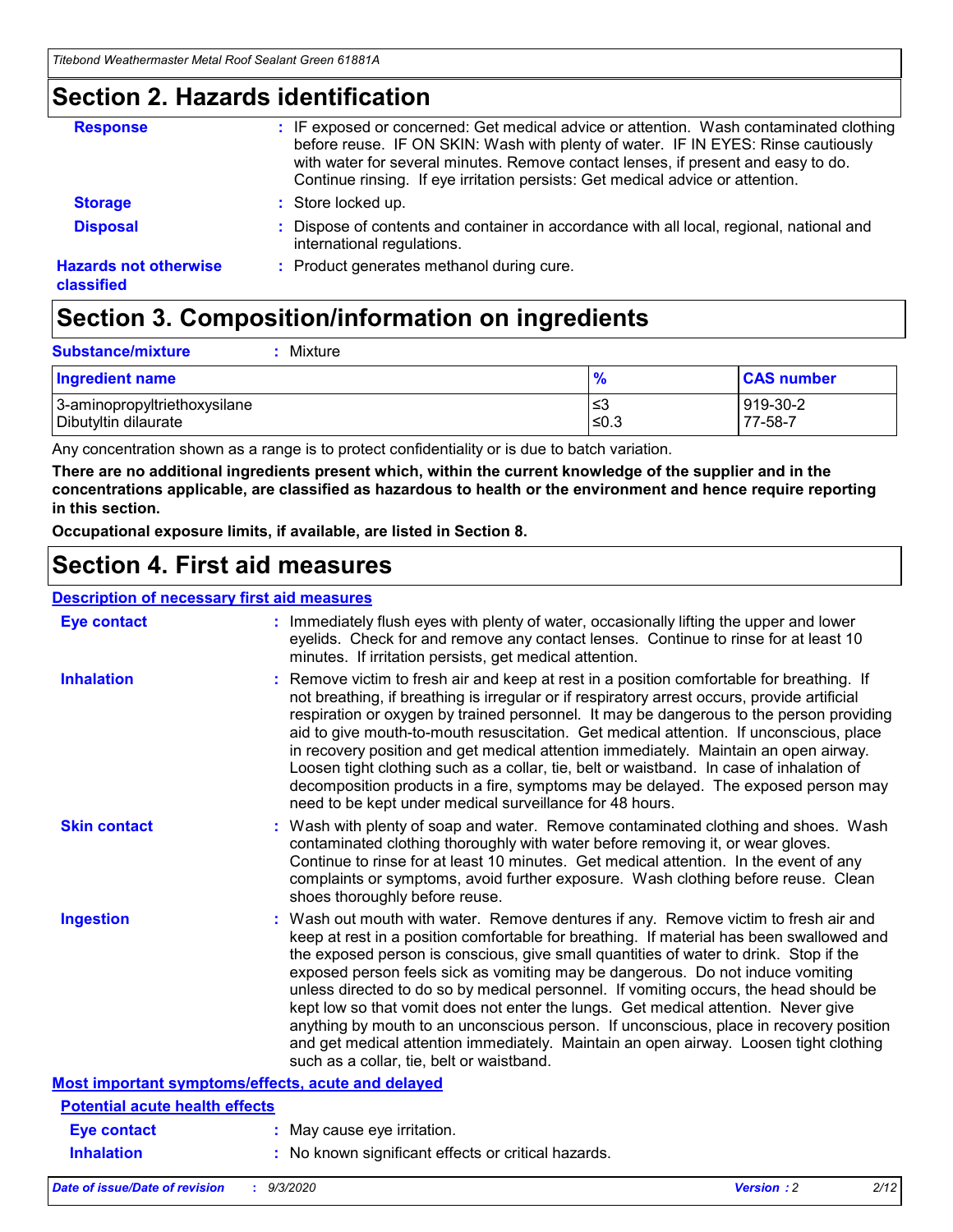### **Section 2. Hazards identification**

| <b>Response</b>                            | : IF exposed or concerned: Get medical advice or attention. Wash contaminated clothing<br>before reuse. IF ON SKIN: Wash with plenty of water. IF IN EYES: Rinse cautiously<br>with water for several minutes. Remove contact lenses, if present and easy to do.<br>Continue rinsing. If eye irritation persists: Get medical advice or attention. |
|--------------------------------------------|----------------------------------------------------------------------------------------------------------------------------------------------------------------------------------------------------------------------------------------------------------------------------------------------------------------------------------------------------|
| <b>Storage</b>                             | : Store locked up.                                                                                                                                                                                                                                                                                                                                 |
| <b>Disposal</b>                            | : Dispose of contents and container in accordance with all local, regional, national and<br>international regulations.                                                                                                                                                                                                                             |
| <b>Hazards not otherwise</b><br>classified | : Product generates methanol during cure.                                                                                                                                                                                                                                                                                                          |

## **Section 3. Composition/information on ingredients**

| <b>Substance/mixture</b> |  | : Mixture |
|--------------------------|--|-----------|
|--------------------------|--|-----------|

| <b>Ingredient name</b>       | $\frac{9}{6}$ | <b>CAS number</b> |
|------------------------------|---------------|-------------------|
| 3-aminopropyltriethoxysilane | ≤3            | 919-30-2          |
| Dibutyltin dilaurate         | ∣≤0.3         | 77-58-7           |

Any concentration shown as a range is to protect confidentiality or is due to batch variation.

**There are no additional ingredients present which, within the current knowledge of the supplier and in the concentrations applicable, are classified as hazardous to health or the environment and hence require reporting in this section.**

**Occupational exposure limits, if available, are listed in Section 8.**

### **Section 4. First aid measures**

| <b>Description of necessary first aid measures</b> |                                                                                                                                                                                                                                                                                                                                                                                                                                                                                                                                                                                                                                                                                                                                                                           |
|----------------------------------------------------|---------------------------------------------------------------------------------------------------------------------------------------------------------------------------------------------------------------------------------------------------------------------------------------------------------------------------------------------------------------------------------------------------------------------------------------------------------------------------------------------------------------------------------------------------------------------------------------------------------------------------------------------------------------------------------------------------------------------------------------------------------------------------|
| <b>Eye contact</b>                                 | : Immediately flush eyes with plenty of water, occasionally lifting the upper and lower<br>eyelids. Check for and remove any contact lenses. Continue to rinse for at least 10<br>minutes. If irritation persists, get medical attention.                                                                                                                                                                                                                                                                                                                                                                                                                                                                                                                                 |
| <b>Inhalation</b>                                  | : Remove victim to fresh air and keep at rest in a position comfortable for breathing. If<br>not breathing, if breathing is irregular or if respiratory arrest occurs, provide artificial<br>respiration or oxygen by trained personnel. It may be dangerous to the person providing<br>aid to give mouth-to-mouth resuscitation. Get medical attention. If unconscious, place<br>in recovery position and get medical attention immediately. Maintain an open airway.<br>Loosen tight clothing such as a collar, tie, belt or waistband. In case of inhalation of<br>decomposition products in a fire, symptoms may be delayed. The exposed person may<br>need to be kept under medical surveillance for 48 hours.                                                       |
| <b>Skin contact</b>                                | : Wash with plenty of soap and water. Remove contaminated clothing and shoes. Wash<br>contaminated clothing thoroughly with water before removing it, or wear gloves.<br>Continue to rinse for at least 10 minutes. Get medical attention. In the event of any<br>complaints or symptoms, avoid further exposure. Wash clothing before reuse. Clean<br>shoes thoroughly before reuse.                                                                                                                                                                                                                                                                                                                                                                                     |
| <b>Ingestion</b>                                   | : Wash out mouth with water. Remove dentures if any. Remove victim to fresh air and<br>keep at rest in a position comfortable for breathing. If material has been swallowed and<br>the exposed person is conscious, give small quantities of water to drink. Stop if the<br>exposed person feels sick as vomiting may be dangerous. Do not induce vomiting<br>unless directed to do so by medical personnel. If vomiting occurs, the head should be<br>kept low so that vomit does not enter the lungs. Get medical attention. Never give<br>anything by mouth to an unconscious person. If unconscious, place in recovery position<br>and get medical attention immediately. Maintain an open airway. Loosen tight clothing<br>such as a collar, tie, belt or waistband. |
| Most important symptoms/effects, acute and delayed |                                                                                                                                                                                                                                                                                                                                                                                                                                                                                                                                                                                                                                                                                                                                                                           |
| <b>Potential acute health effects</b>              |                                                                                                                                                                                                                                                                                                                                                                                                                                                                                                                                                                                                                                                                                                                                                                           |
| <b>Eye contact</b>                                 | : May cause eye irritation.                                                                                                                                                                                                                                                                                                                                                                                                                                                                                                                                                                                                                                                                                                                                               |
| <b>Inhalation</b>                                  | : No known significant effects or critical hazards.                                                                                                                                                                                                                                                                                                                                                                                                                                                                                                                                                                                                                                                                                                                       |
|                                                    |                                                                                                                                                                                                                                                                                                                                                                                                                                                                                                                                                                                                                                                                                                                                                                           |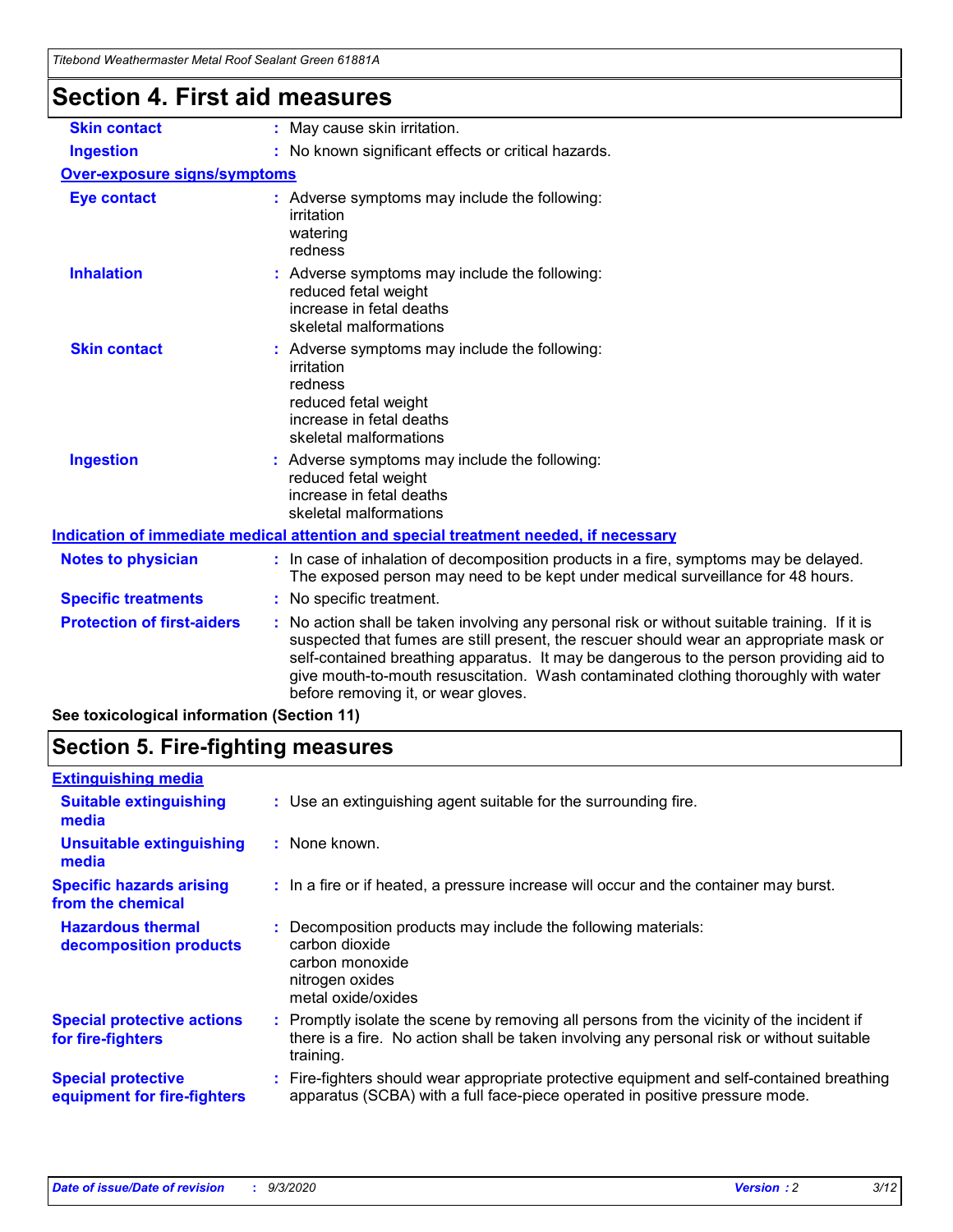| <b>Section 4. First aid measures</b>                                                                                                                                                                                                                                                                                                                                                                          |  |  |  |
|---------------------------------------------------------------------------------------------------------------------------------------------------------------------------------------------------------------------------------------------------------------------------------------------------------------------------------------------------------------------------------------------------------------|--|--|--|
| : May cause skin irritation.                                                                                                                                                                                                                                                                                                                                                                                  |  |  |  |
| : No known significant effects or critical hazards.                                                                                                                                                                                                                                                                                                                                                           |  |  |  |
| <b>Over-exposure signs/symptoms</b>                                                                                                                                                                                                                                                                                                                                                                           |  |  |  |
| : Adverse symptoms may include the following:<br>irritation<br>watering<br>redness                                                                                                                                                                                                                                                                                                                            |  |  |  |
| : Adverse symptoms may include the following:<br>reduced fetal weight<br>increase in fetal deaths<br>skeletal malformations                                                                                                                                                                                                                                                                                   |  |  |  |
| : Adverse symptoms may include the following:<br>irritation<br>redness<br>reduced fetal weight<br>increase in fetal deaths<br>skeletal malformations                                                                                                                                                                                                                                                          |  |  |  |
| : Adverse symptoms may include the following:<br>reduced fetal weight<br>increase in fetal deaths<br>skeletal malformations                                                                                                                                                                                                                                                                                   |  |  |  |
| Indication of immediate medical attention and special treatment needed, if necessary                                                                                                                                                                                                                                                                                                                          |  |  |  |
| : In case of inhalation of decomposition products in a fire, symptoms may be delayed.<br>The exposed person may need to be kept under medical surveillance for 48 hours.                                                                                                                                                                                                                                      |  |  |  |
| : No specific treatment.                                                                                                                                                                                                                                                                                                                                                                                      |  |  |  |
| No action shall be taken involving any personal risk or without suitable training. If it is<br>suspected that fumes are still present, the rescuer should wear an appropriate mask or<br>self-contained breathing apparatus. It may be dangerous to the person providing aid to<br>give mouth-to-mouth resuscitation. Wash contaminated clothing thoroughly with water<br>before removing it, or wear gloves. |  |  |  |
|                                                                                                                                                                                                                                                                                                                                                                                                               |  |  |  |

**See toxicological information (Section 11)**

### **Section 5. Fire-fighting measures**

| <b>Extinguishing media</b>                               |                                                                                                                                                                                                     |
|----------------------------------------------------------|-----------------------------------------------------------------------------------------------------------------------------------------------------------------------------------------------------|
| <b>Suitable extinguishing</b><br>media                   | : Use an extinguishing agent suitable for the surrounding fire.                                                                                                                                     |
| <b>Unsuitable extinguishing</b><br>media                 | : None known.                                                                                                                                                                                       |
| <b>Specific hazards arising</b><br>from the chemical     | : In a fire or if heated, a pressure increase will occur and the container may burst.                                                                                                               |
| <b>Hazardous thermal</b><br>decomposition products       | Decomposition products may include the following materials:<br>carbon dioxide<br>carbon monoxide<br>nitrogen oxides<br>metal oxide/oxides                                                           |
| <b>Special protective actions</b><br>for fire-fighters   | : Promptly isolate the scene by removing all persons from the vicinity of the incident if<br>there is a fire. No action shall be taken involving any personal risk or without suitable<br>training. |
| <b>Special protective</b><br>equipment for fire-fighters | Fire-fighters should wear appropriate protective equipment and self-contained breathing<br>apparatus (SCBA) with a full face-piece operated in positive pressure mode.                              |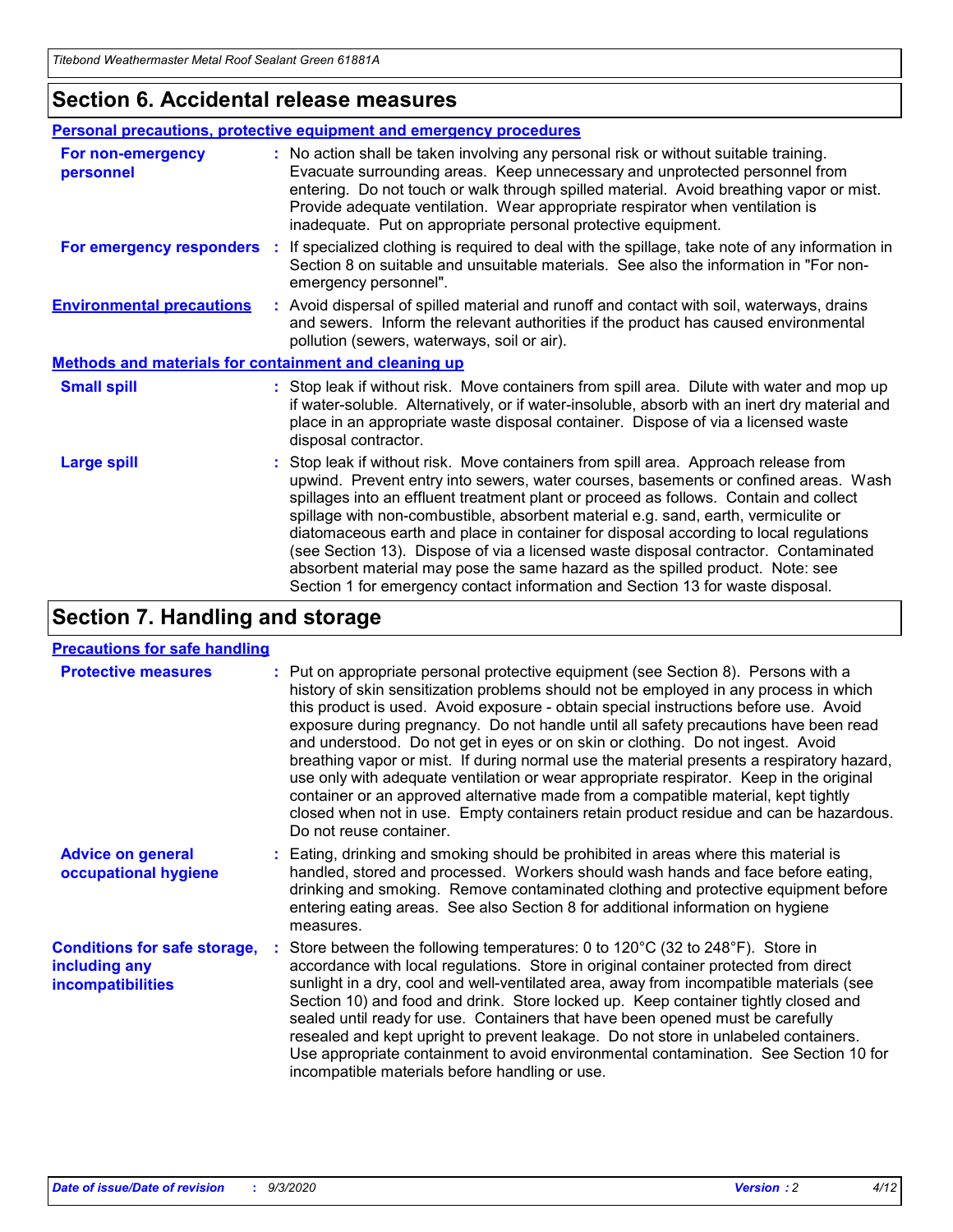### **Section 6. Accidental release measures**

|                                                              | <b>Personal precautions, protective equipment and emergency procedures</b>                                                                                                                                                                                                                                                                                                                                                                                                                                                                                                                                                                                                                                   |  |  |  |  |
|--------------------------------------------------------------|--------------------------------------------------------------------------------------------------------------------------------------------------------------------------------------------------------------------------------------------------------------------------------------------------------------------------------------------------------------------------------------------------------------------------------------------------------------------------------------------------------------------------------------------------------------------------------------------------------------------------------------------------------------------------------------------------------------|--|--|--|--|
| For non-emergency<br>personnel                               | : No action shall be taken involving any personal risk or without suitable training.<br>Evacuate surrounding areas. Keep unnecessary and unprotected personnel from<br>entering. Do not touch or walk through spilled material. Avoid breathing vapor or mist.<br>Provide adequate ventilation. Wear appropriate respirator when ventilation is<br>inadequate. Put on appropriate personal protective equipment.                                                                                                                                                                                                                                                                                             |  |  |  |  |
| For emergency responders                                     | : If specialized clothing is required to deal with the spillage, take note of any information in<br>Section 8 on suitable and unsuitable materials. See also the information in "For non-<br>emergency personnel".                                                                                                                                                                                                                                                                                                                                                                                                                                                                                           |  |  |  |  |
| <b>Environmental precautions</b>                             | : Avoid dispersal of spilled material and runoff and contact with soil, waterways, drains<br>and sewers. Inform the relevant authorities if the product has caused environmental<br>pollution (sewers, waterways, soil or air).                                                                                                                                                                                                                                                                                                                                                                                                                                                                              |  |  |  |  |
| <b>Methods and materials for containment and cleaning up</b> |                                                                                                                                                                                                                                                                                                                                                                                                                                                                                                                                                                                                                                                                                                              |  |  |  |  |
| <b>Small spill</b>                                           | : Stop leak if without risk. Move containers from spill area. Dilute with water and mop up<br>if water-soluble. Alternatively, or if water-insoluble, absorb with an inert dry material and<br>place in an appropriate waste disposal container. Dispose of via a licensed waste<br>disposal contractor.                                                                                                                                                                                                                                                                                                                                                                                                     |  |  |  |  |
| <b>Large spill</b>                                           | : Stop leak if without risk. Move containers from spill area. Approach release from<br>upwind. Prevent entry into sewers, water courses, basements or confined areas. Wash<br>spillages into an effluent treatment plant or proceed as follows. Contain and collect<br>spillage with non-combustible, absorbent material e.g. sand, earth, vermiculite or<br>diatomaceous earth and place in container for disposal according to local regulations<br>(see Section 13). Dispose of via a licensed waste disposal contractor. Contaminated<br>absorbent material may pose the same hazard as the spilled product. Note: see<br>Section 1 for emergency contact information and Section 13 for waste disposal. |  |  |  |  |

### **Section 7. Handling and storage**

#### **Precautions for safe handling**

| <b>Protective measures</b>                                                       | : Put on appropriate personal protective equipment (see Section 8). Persons with a<br>history of skin sensitization problems should not be employed in any process in which<br>this product is used. Avoid exposure - obtain special instructions before use. Avoid<br>exposure during pregnancy. Do not handle until all safety precautions have been read<br>and understood. Do not get in eyes or on skin or clothing. Do not ingest. Avoid<br>breathing vapor or mist. If during normal use the material presents a respiratory hazard,<br>use only with adequate ventilation or wear appropriate respirator. Keep in the original<br>container or an approved alternative made from a compatible material, kept tightly<br>closed when not in use. Empty containers retain product residue and can be hazardous.<br>Do not reuse container. |  |
|----------------------------------------------------------------------------------|--------------------------------------------------------------------------------------------------------------------------------------------------------------------------------------------------------------------------------------------------------------------------------------------------------------------------------------------------------------------------------------------------------------------------------------------------------------------------------------------------------------------------------------------------------------------------------------------------------------------------------------------------------------------------------------------------------------------------------------------------------------------------------------------------------------------------------------------------|--|
| <b>Advice on general</b><br>occupational hygiene                                 | : Eating, drinking and smoking should be prohibited in areas where this material is<br>handled, stored and processed. Workers should wash hands and face before eating,<br>drinking and smoking. Remove contaminated clothing and protective equipment before<br>entering eating areas. See also Section 8 for additional information on hygiene<br>measures.                                                                                                                                                                                                                                                                                                                                                                                                                                                                                    |  |
| <b>Conditions for safe storage,</b><br>including any<br><i>incompatibilities</i> | Store between the following temperatures: 0 to 120°C (32 to 248°F). Store in<br>accordance with local regulations. Store in original container protected from direct<br>sunlight in a dry, cool and well-ventilated area, away from incompatible materials (see<br>Section 10) and food and drink. Store locked up. Keep container tightly closed and<br>sealed until ready for use. Containers that have been opened must be carefully<br>resealed and kept upright to prevent leakage. Do not store in unlabeled containers.<br>Use appropriate containment to avoid environmental contamination. See Section 10 for<br>incompatible materials before handling or use.                                                                                                                                                                         |  |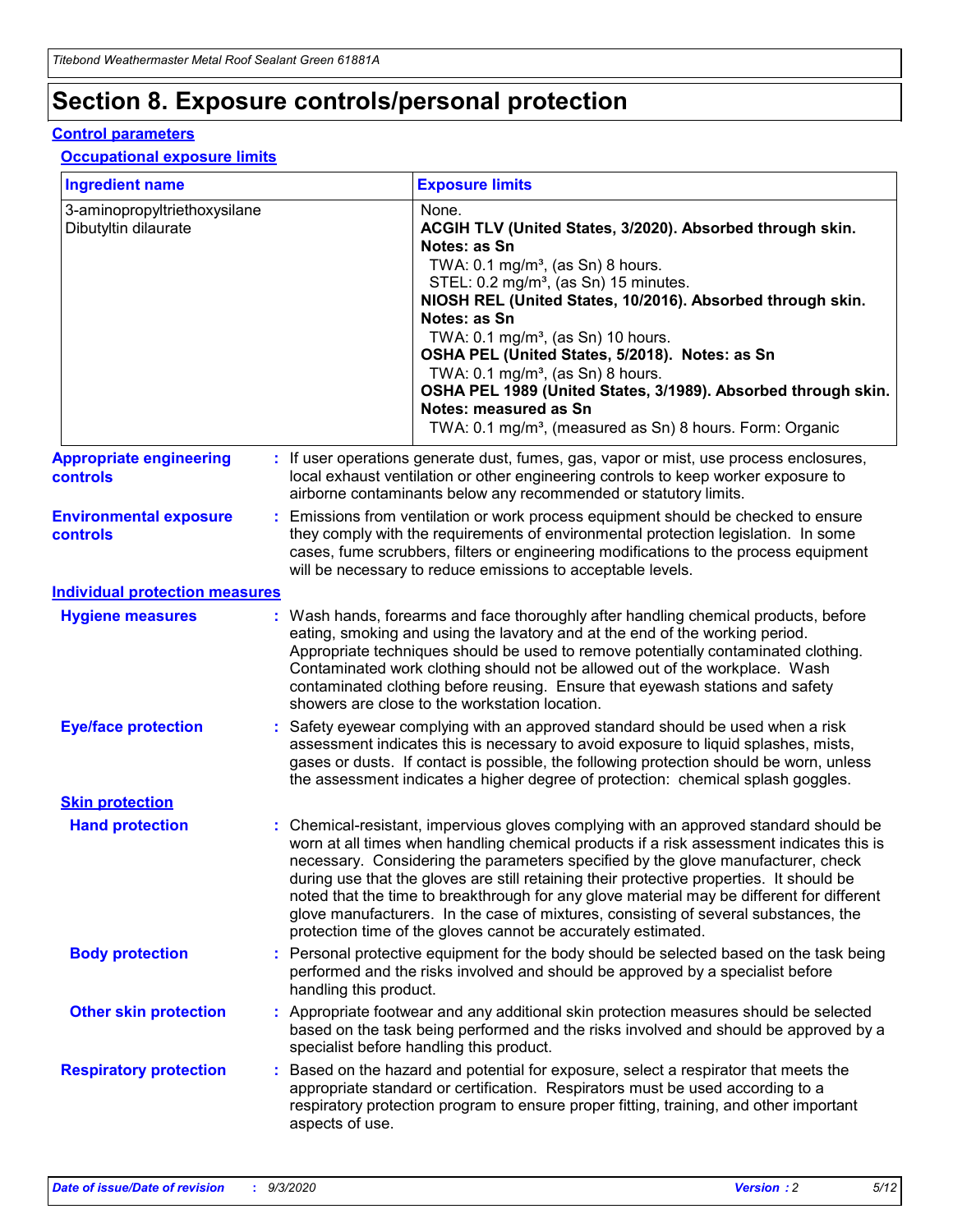# **Section 8. Exposure controls/personal protection**

#### **Control parameters**

#### **Occupational exposure limits**

| <b>Ingredient name</b>                               |    |                        | <b>Exposure limits</b>                                                                                                                                                                                                                                                                                                                                                                                                                                                                                                                                                                                                 |
|------------------------------------------------------|----|------------------------|------------------------------------------------------------------------------------------------------------------------------------------------------------------------------------------------------------------------------------------------------------------------------------------------------------------------------------------------------------------------------------------------------------------------------------------------------------------------------------------------------------------------------------------------------------------------------------------------------------------------|
| 3-aminopropyltriethoxysilane<br>Dibutyltin dilaurate |    |                        | None.<br>ACGIH TLV (United States, 3/2020). Absorbed through skin.<br>Notes: as Sn<br>TWA: $0.1 \text{ mg/m}^3$ , (as Sn) 8 hours.<br>STEL: 0.2 mg/m <sup>3</sup> , (as Sn) 15 minutes.<br>NIOSH REL (United States, 10/2016). Absorbed through skin.<br>Notes: as Sn<br>TWA: 0.1 mg/m <sup>3</sup> , (as Sn) 10 hours.<br>OSHA PEL (United States, 5/2018). Notes: as Sn<br>TWA: $0.1 \text{ mg/m}^3$ , (as Sn) 8 hours.<br>OSHA PEL 1989 (United States, 3/1989). Absorbed through skin.<br>Notes: measured as Sn<br>TWA: 0.1 mg/m <sup>3</sup> , (measured as Sn) 8 hours. Form: Organic                            |
| <b>Appropriate engineering</b><br>controls           |    |                        | : If user operations generate dust, fumes, gas, vapor or mist, use process enclosures,<br>local exhaust ventilation or other engineering controls to keep worker exposure to<br>airborne contaminants below any recommended or statutory limits.                                                                                                                                                                                                                                                                                                                                                                       |
| <b>Environmental exposure</b><br>controls            |    |                        | Emissions from ventilation or work process equipment should be checked to ensure<br>they comply with the requirements of environmental protection legislation. In some<br>cases, fume scrubbers, filters or engineering modifications to the process equipment<br>will be necessary to reduce emissions to acceptable levels.                                                                                                                                                                                                                                                                                          |
| <b>Individual protection measures</b>                |    |                        |                                                                                                                                                                                                                                                                                                                                                                                                                                                                                                                                                                                                                        |
| <b>Hygiene measures</b>                              |    |                        | : Wash hands, forearms and face thoroughly after handling chemical products, before<br>eating, smoking and using the lavatory and at the end of the working period.<br>Appropriate techniques should be used to remove potentially contaminated clothing.<br>Contaminated work clothing should not be allowed out of the workplace. Wash<br>contaminated clothing before reusing. Ensure that eyewash stations and safety<br>showers are close to the workstation location.                                                                                                                                            |
| <b>Eye/face protection</b>                           |    |                        | : Safety eyewear complying with an approved standard should be used when a risk<br>assessment indicates this is necessary to avoid exposure to liquid splashes, mists,<br>gases or dusts. If contact is possible, the following protection should be worn, unless<br>the assessment indicates a higher degree of protection: chemical splash goggles.                                                                                                                                                                                                                                                                  |
| <b>Skin protection</b>                               |    |                        |                                                                                                                                                                                                                                                                                                                                                                                                                                                                                                                                                                                                                        |
| <b>Hand protection</b>                               |    |                        | : Chemical-resistant, impervious gloves complying with an approved standard should be<br>worn at all times when handling chemical products if a risk assessment indicates this is<br>necessary. Considering the parameters specified by the glove manufacturer, check<br>during use that the gloves are still retaining their protective properties. It should be<br>noted that the time to breakthrough for any glove material may be different for different<br>glove manufacturers. In the case of mixtures, consisting of several substances, the<br>protection time of the gloves cannot be accurately estimated. |
| <b>Body protection</b>                               |    | handling this product. | Personal protective equipment for the body should be selected based on the task being<br>performed and the risks involved and should be approved by a specialist before                                                                                                                                                                                                                                                                                                                                                                                                                                                |
| <b>Other skin protection</b>                         |    |                        | : Appropriate footwear and any additional skin protection measures should be selected<br>based on the task being performed and the risks involved and should be approved by a<br>specialist before handling this product.                                                                                                                                                                                                                                                                                                                                                                                              |
| <b>Respiratory protection</b>                        | ÷. | aspects of use.        | Based on the hazard and potential for exposure, select a respirator that meets the<br>appropriate standard or certification. Respirators must be used according to a<br>respiratory protection program to ensure proper fitting, training, and other important                                                                                                                                                                                                                                                                                                                                                         |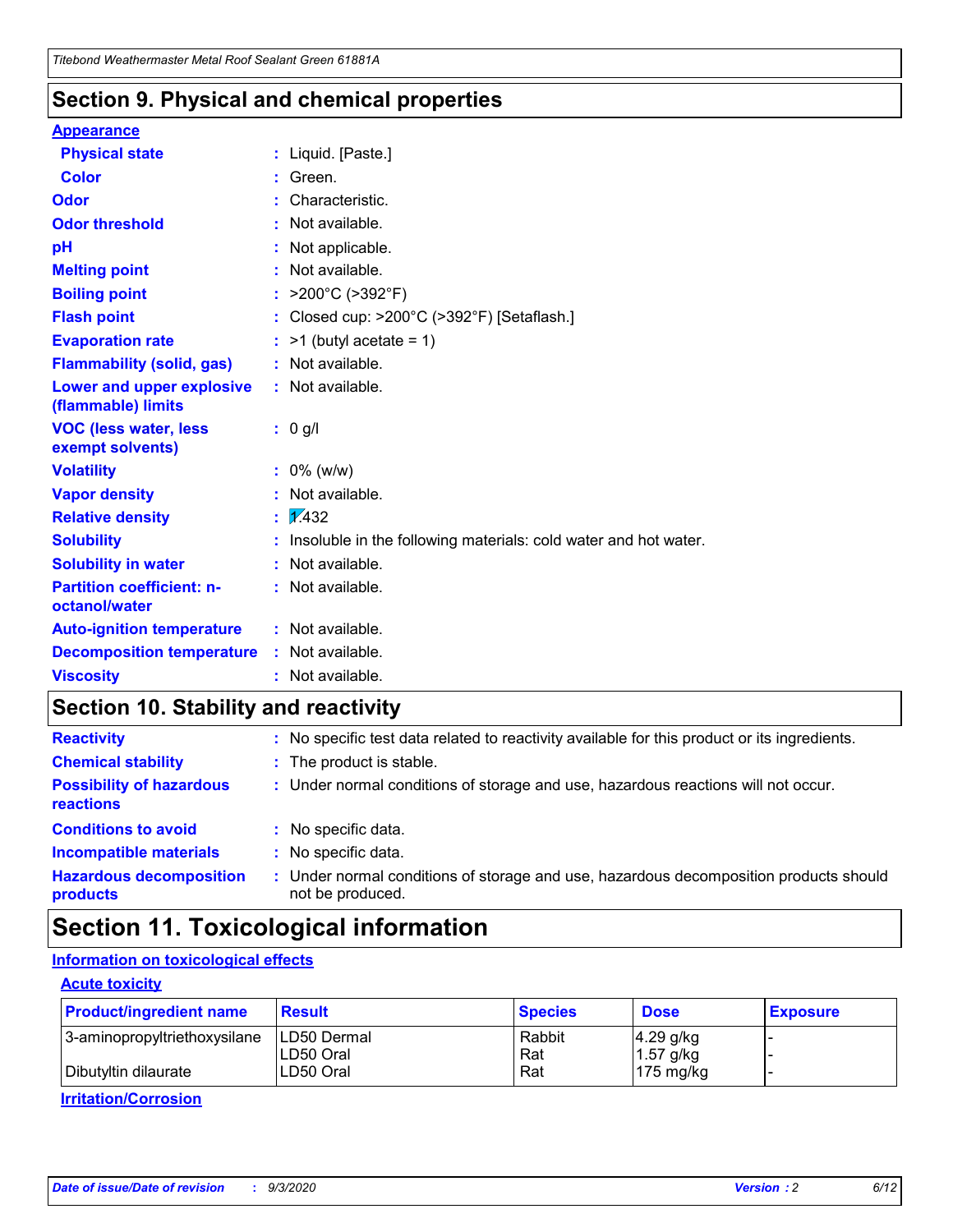### **Section 9. Physical and chemical properties**

#### **Appearance**

| <b>Physical state</b>                             |   | : Liquid. [Paste.]                                              |
|---------------------------------------------------|---|-----------------------------------------------------------------|
| <b>Color</b>                                      |   | Green.                                                          |
| Odor                                              |   | Characteristic.                                                 |
| <b>Odor threshold</b>                             | ÷ | Not available.                                                  |
| рH                                                |   | Not applicable.                                                 |
| <b>Melting point</b>                              |   | : Not available.                                                |
| <b>Boiling point</b>                              |   | >200°C (>392°F)                                                 |
| <b>Flash point</b>                                |   | Closed cup: >200°C (>392°F) [Setaflash.]                        |
| <b>Evaporation rate</b>                           |   | $:$ >1 (butyl acetate = 1)                                      |
| <b>Flammability (solid, gas)</b>                  |   | : Not available.                                                |
| Lower and upper explosive<br>(flammable) limits   |   | : Not available.                                                |
| <b>VOC (less water, less)</b><br>exempt solvents) |   | : 0 g/l                                                         |
| <b>Volatility</b>                                 |   | $: 0\%$ (w/w)                                                   |
| <b>Vapor density</b>                              |   | Not available.                                                  |
| <b>Relative density</b>                           |   | $\mathbf{1}$ $\mathbf{\sqrt{432}}$                              |
| <b>Solubility</b>                                 |   | Insoluble in the following materials: cold water and hot water. |
| <b>Solubility in water</b>                        |   | Not available.                                                  |
| <b>Partition coefficient: n-</b><br>octanol/water |   | $:$ Not available.                                              |
| <b>Auto-ignition temperature</b>                  |   | : Not available.                                                |
| <b>Decomposition temperature</b>                  |   | : Not available.                                                |
| <b>Viscosity</b>                                  |   | $:$ Not available.                                              |

### **Section 10. Stability and reactivity**

| <b>Reactivity</b>                            |    | : No specific test data related to reactivity available for this product or its ingredients.            |
|----------------------------------------------|----|---------------------------------------------------------------------------------------------------------|
| <b>Chemical stability</b>                    |    | : The product is stable.                                                                                |
| <b>Possibility of hazardous</b><br>reactions |    | : Under normal conditions of storage and use, hazardous reactions will not occur.                       |
| <b>Conditions to avoid</b>                   |    | : No specific data.                                                                                     |
| <b>Incompatible materials</b>                |    | : No specific data.                                                                                     |
| <b>Hazardous decomposition</b><br>products   | ÷. | Under normal conditions of storage and use, hazardous decomposition products should<br>not be produced. |

### **Section 11. Toxicological information**

### **Information on toxicological effects**

#### **Acute toxicity**

| <b>Product/ingredient name</b> | <b>Result</b>           | <b>Species</b> | <b>Dose</b>                | <b>Exposure</b> |
|--------------------------------|-------------------------|----------------|----------------------------|-----------------|
| 3-aminopropyltriethoxysilane   | <b>ILD50 Dermal</b>     | Rabbit         | 4.29 g/kg                  |                 |
| Dibutyltin dilaurate           | ILD50 Oral<br>LD50 Oral | Rat<br>Rat     | $1.57$ g/kg<br>175 $mg/kg$ |                 |
|                                |                         |                |                            |                 |

**Irritation/Corrosion**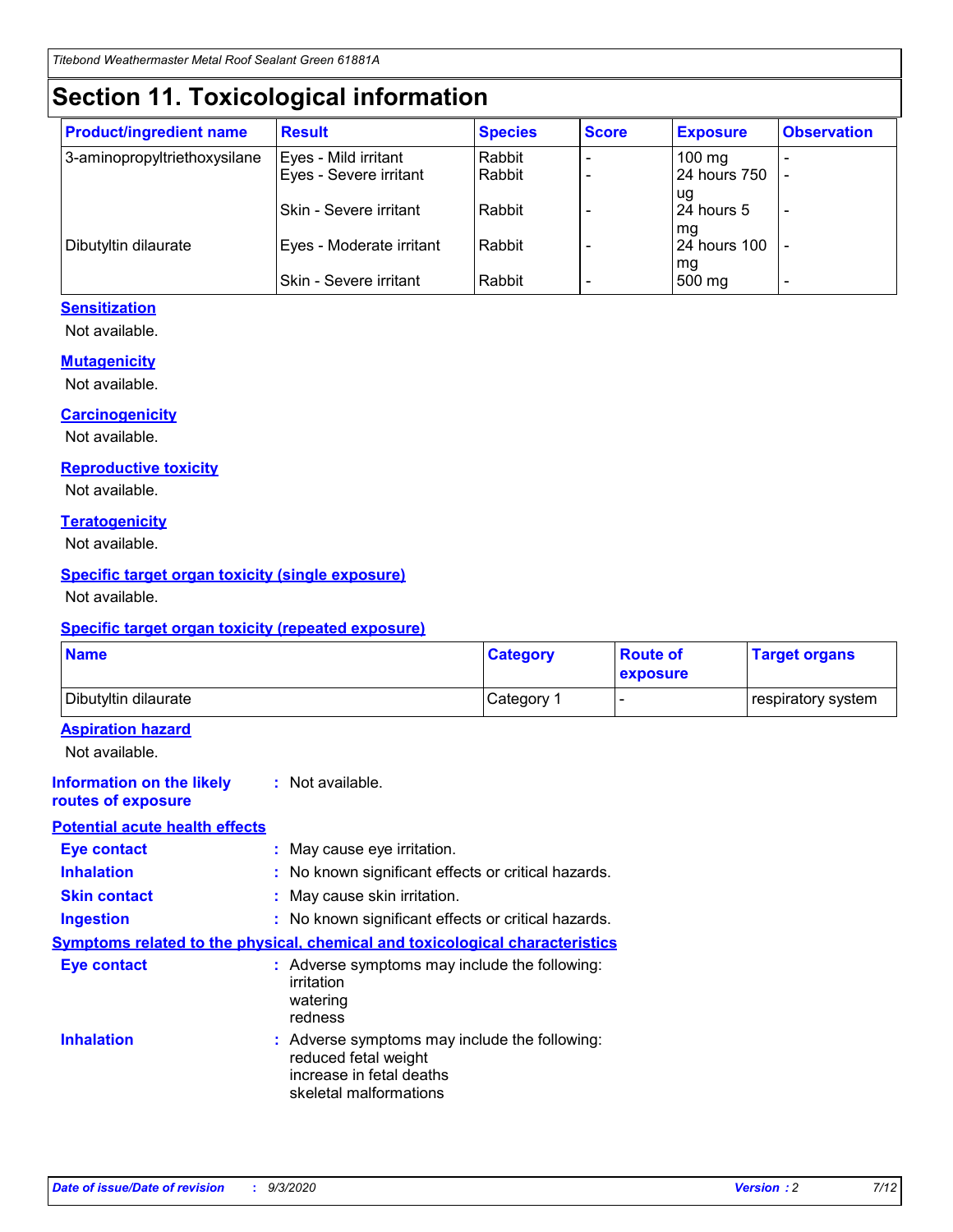# **Section 11. Toxicological information**

| <b>Product/ingredient name</b> | <b>Result</b>            | <b>Species</b> | <b>Score</b> | <b>Exposure</b>    | <b>Observation</b> |
|--------------------------------|--------------------------|----------------|--------------|--------------------|--------------------|
| 3-aminopropyltriethoxysilane   | Eyes - Mild irritant     | Rabbit         |              | $100 \text{ mg}$   |                    |
|                                | Eyes - Severe irritant   | Rabbit         |              | 24 hours 750       |                    |
|                                |                          |                |              | ug                 |                    |
|                                | Skin - Severe irritant   | Rabbit         |              | 24 hours 5         | -                  |
| Dibutyltin dilaurate           | Eyes - Moderate irritant | Rabbit         |              | mg<br>24 hours 100 |                    |
|                                |                          |                |              | mg                 |                    |
|                                | Skin - Severe irritant   | Rabbit         |              | 500 mg             | -                  |

#### **Sensitization**

Not available.

#### **Mutagenicity**

Not available.

#### **Carcinogenicity**

Not available.

#### **Reproductive toxicity**

Not available.

#### **Teratogenicity**

Not available.

#### **Specific target organ toxicity (single exposure)**

Not available.

#### **Specific target organ toxicity (repeated exposure)**

| <b>Name</b>                                                                  |                                                                                                                             | <b>Category</b>                                     | <b>Route of</b><br>exposure | <b>Target organs</b> |  |  |
|------------------------------------------------------------------------------|-----------------------------------------------------------------------------------------------------------------------------|-----------------------------------------------------|-----------------------------|----------------------|--|--|
| Dibutyltin dilaurate                                                         |                                                                                                                             | Category 1                                          | $\overline{\phantom{0}}$    | respiratory system   |  |  |
| <b>Aspiration hazard</b><br>Not available.                                   |                                                                                                                             |                                                     |                             |                      |  |  |
| <b>Information on the likely</b><br>routes of exposure                       | : Not available.                                                                                                            |                                                     |                             |                      |  |  |
| <b>Potential acute health effects</b>                                        |                                                                                                                             |                                                     |                             |                      |  |  |
| <b>Eye contact</b>                                                           |                                                                                                                             | : May cause eye irritation.                         |                             |                      |  |  |
| <b>Inhalation</b>                                                            |                                                                                                                             | : No known significant effects or critical hazards. |                             |                      |  |  |
| <b>Skin contact</b>                                                          |                                                                                                                             | : May cause skin irritation.                        |                             |                      |  |  |
| <b>Ingestion</b>                                                             |                                                                                                                             | : No known significant effects or critical hazards. |                             |                      |  |  |
| Symptoms related to the physical, chemical and toxicological characteristics |                                                                                                                             |                                                     |                             |                      |  |  |
| <b>Eye contact</b>                                                           | : Adverse symptoms may include the following:<br>irritation<br>watering<br>redness                                          |                                                     |                             |                      |  |  |
| <b>Inhalation</b>                                                            | : Adverse symptoms may include the following:<br>reduced fetal weight<br>increase in fetal deaths<br>skeletal malformations |                                                     |                             |                      |  |  |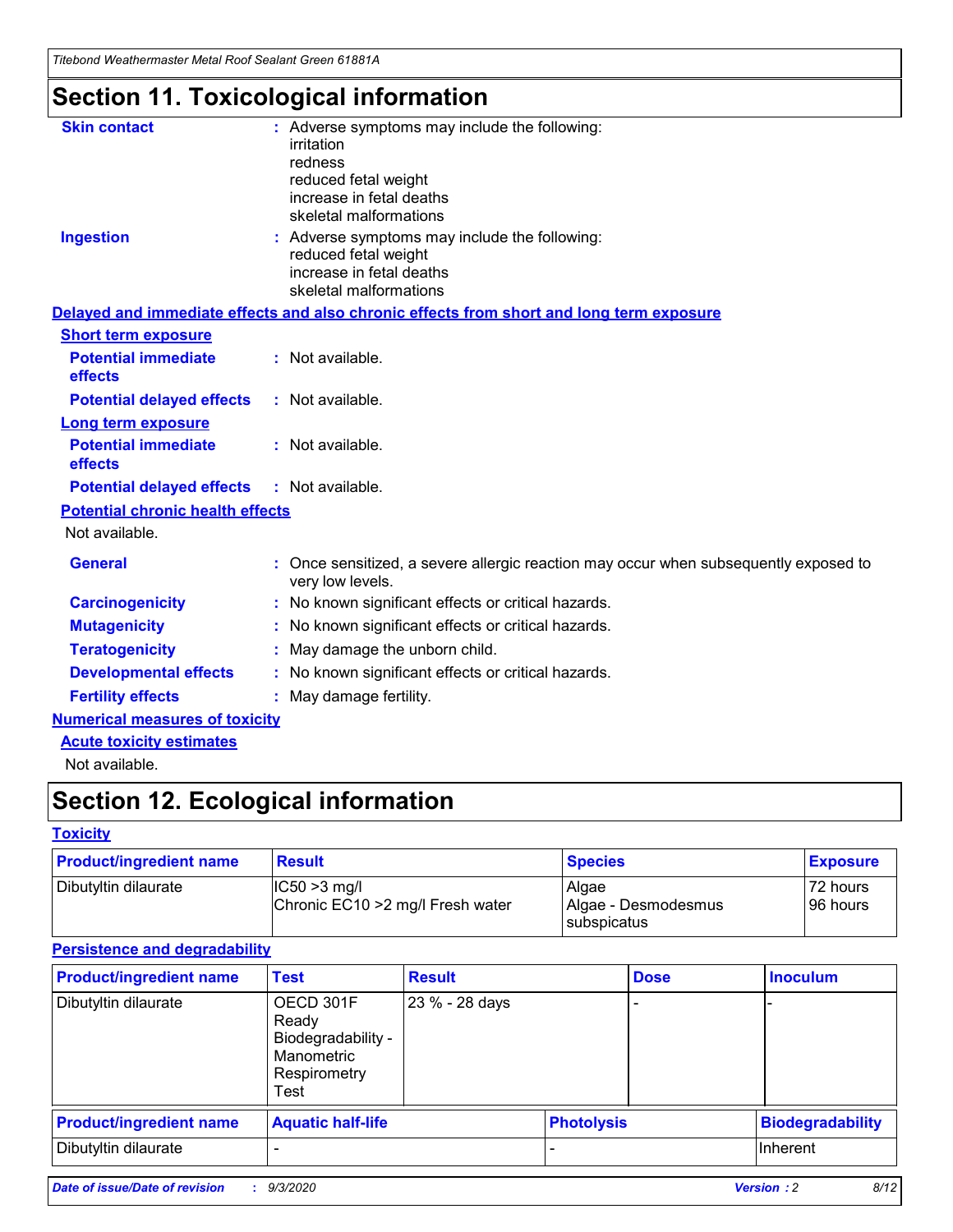*Titebond Weathermaster Metal Roof Sealant Green 61881A*

# **Section 11. Toxicological information**

| <b>Skin contact</b>                     | : Adverse symptoms may include the following:<br>irritation<br>redness<br>reduced fetal weight<br>increase in fetal deaths<br>skeletal malformations |  |
|-----------------------------------------|------------------------------------------------------------------------------------------------------------------------------------------------------|--|
| <b>Ingestion</b>                        | : Adverse symptoms may include the following:<br>reduced fetal weight<br>increase in fetal deaths<br>skeletal malformations                          |  |
|                                         | Delayed and immediate effects and also chronic effects from short and long term exposure                                                             |  |
| <b>Short term exposure</b>              |                                                                                                                                                      |  |
| <b>Potential immediate</b><br>effects   | : Not available.                                                                                                                                     |  |
| <b>Potential delayed effects</b>        | : Not available.                                                                                                                                     |  |
| Long term exposure                      |                                                                                                                                                      |  |
| <b>Potential immediate</b><br>effects   | : Not available.                                                                                                                                     |  |
| <b>Potential delayed effects</b>        | : Not available.                                                                                                                                     |  |
| <b>Potential chronic health effects</b> |                                                                                                                                                      |  |
| Not available.                          |                                                                                                                                                      |  |
| <b>General</b>                          | Once sensitized, a severe allergic reaction may occur when subsequently exposed to<br>very low levels.                                               |  |
| <b>Carcinogenicity</b>                  | No known significant effects or critical hazards.                                                                                                    |  |
| <b>Mutagenicity</b>                     | : No known significant effects or critical hazards.                                                                                                  |  |
| <b>Teratogenicity</b>                   | May damage the unborn child.                                                                                                                         |  |
| <b>Developmental effects</b>            | : No known significant effects or critical hazards.                                                                                                  |  |
| <b>Fertility effects</b>                | : May damage fertility.                                                                                                                              |  |
| <b>Numerical measures of toxicity</b>   |                                                                                                                                                      |  |
| <b>Acute toxicity estimates</b>         |                                                                                                                                                      |  |
| Not ovoilable                           |                                                                                                                                                      |  |

Not available.

# **Section 12. Ecological information**

#### **Toxicity**

| <b>Product/ingredient name</b> | <b>Result</b>                                       | <b>Species</b>               | <b>Exposure</b>       |
|--------------------------------|-----------------------------------------------------|------------------------------|-----------------------|
| Dibutyltin dilaurate           | $ CC50>3$ mg/l<br>Chronic EC10 > 2 mg/l Fresh water | Algae<br>Algae - Desmodesmus | 72 hours<br>196 hours |
|                                |                                                     | <b>I</b> subspicatus         |                       |

#### **Persistence and degradability**

| <b>Product/ingredient name</b> | <b>Test</b>                                                                    | <b>Result</b>  |                   | <b>Dose</b> | <b>Inoculum</b>         |
|--------------------------------|--------------------------------------------------------------------------------|----------------|-------------------|-------------|-------------------------|
| Dibutyltin dilaurate           | OECD 301F<br>Ready<br>Biodegradability -<br>Manometric<br>Respirometry<br>Test | 23 % - 28 days |                   |             |                         |
| <b>Product/ingredient name</b> | <b>Aquatic half-life</b>                                                       |                | <b>Photolysis</b> |             | <b>Biodegradability</b> |
| Dibutyltin dilaurate           |                                                                                |                |                   |             | <b>Inherent</b>         |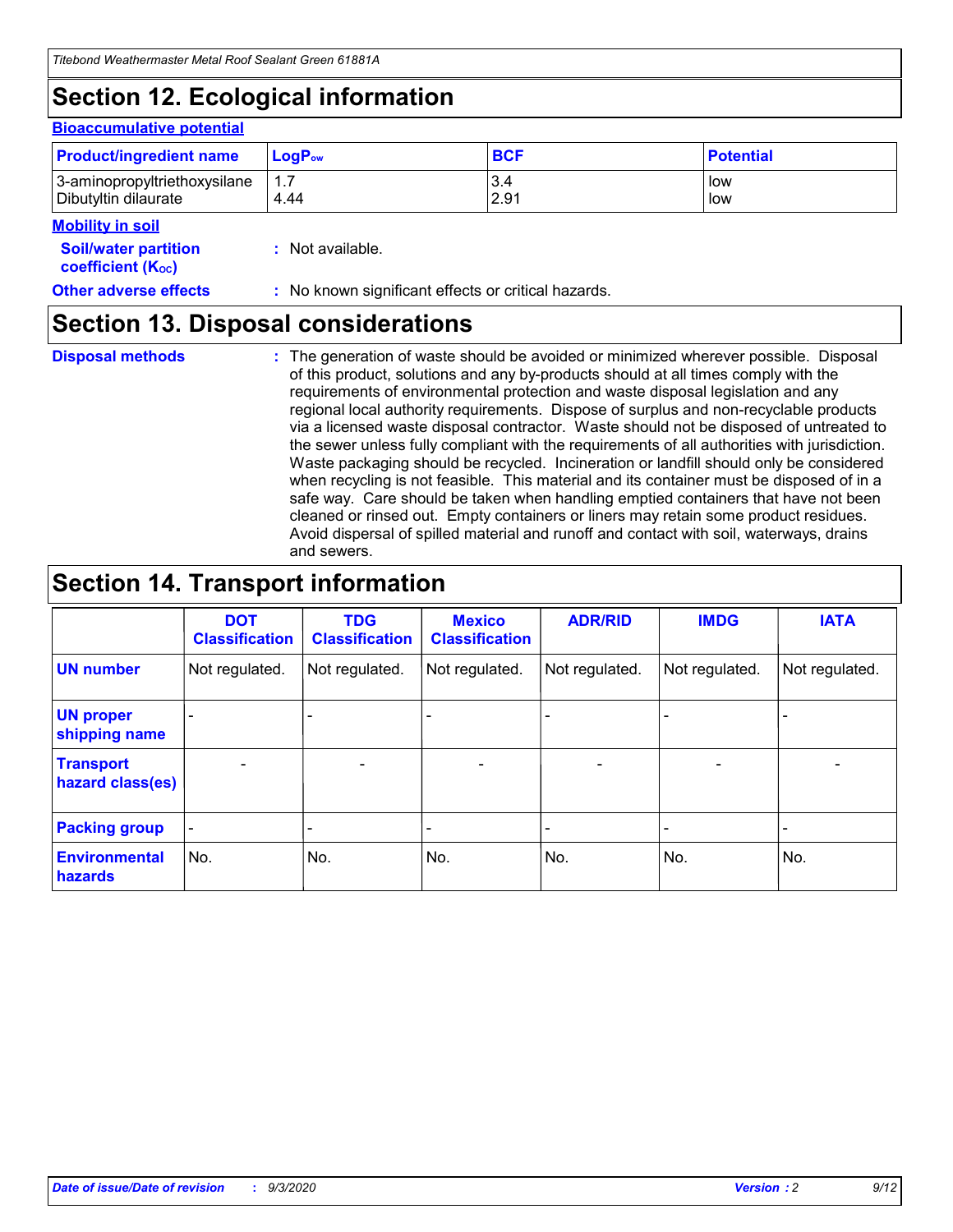### **Section 12. Ecological information**

#### **Bioaccumulative potential**

| <b>Product/ingredient name</b> | $LogPow$ | <b>BCF</b> | <b>Potential</b> |
|--------------------------------|----------|------------|------------------|
| 3-aminopropyltriethoxysilane   | 1.7      | 3.4        | low              |
| Dibutyltin dilaurate           | 4.44     | 2.91       | low              |

#### **Mobility in soil**

| IVIUWIILV III SUII                                            |                                                     |
|---------------------------------------------------------------|-----------------------------------------------------|
| <b>Soil/water partition</b><br>coefficient (K <sub>oc</sub> ) | : Not available.                                    |
| <b>Other adverse effects</b>                                  | : No known significant effects or critical hazards. |

### **Section 13. Disposal considerations**

**Disposal methods :**

The generation of waste should be avoided or minimized wherever possible. Disposal of this product, solutions and any by-products should at all times comply with the requirements of environmental protection and waste disposal legislation and any regional local authority requirements. Dispose of surplus and non-recyclable products via a licensed waste disposal contractor. Waste should not be disposed of untreated to the sewer unless fully compliant with the requirements of all authorities with jurisdiction. Waste packaging should be recycled. Incineration or landfill should only be considered when recycling is not feasible. This material and its container must be disposed of in a safe way. Care should be taken when handling emptied containers that have not been cleaned or rinsed out. Empty containers or liners may retain some product residues. Avoid dispersal of spilled material and runoff and contact with soil, waterways, drains and sewers.

### **Section 14. Transport information**

|                                      | <b>DOT</b><br><b>Classification</b> | <b>TDG</b><br><b>Classification</b> | <b>Mexico</b><br><b>Classification</b> | <b>ADR/RID</b>           | <b>IMDG</b>              | <b>IATA</b>    |
|--------------------------------------|-------------------------------------|-------------------------------------|----------------------------------------|--------------------------|--------------------------|----------------|
| <b>UN number</b>                     | Not regulated.                      | Not regulated.                      | Not regulated.                         | Not regulated.           | Not regulated.           | Not regulated. |
| <b>UN proper</b><br>shipping name    |                                     |                                     |                                        |                          |                          |                |
| <b>Transport</b><br>hazard class(es) |                                     | $\overline{\phantom{0}}$            | $\qquad \qquad \blacksquare$           | $\overline{\phantom{0}}$ | $\overline{\phantom{0}}$ |                |
| <b>Packing group</b>                 |                                     |                                     |                                        |                          |                          |                |
| <b>Environmental</b><br>hazards      | No.                                 | No.                                 | No.                                    | No.                      | No.                      | No.            |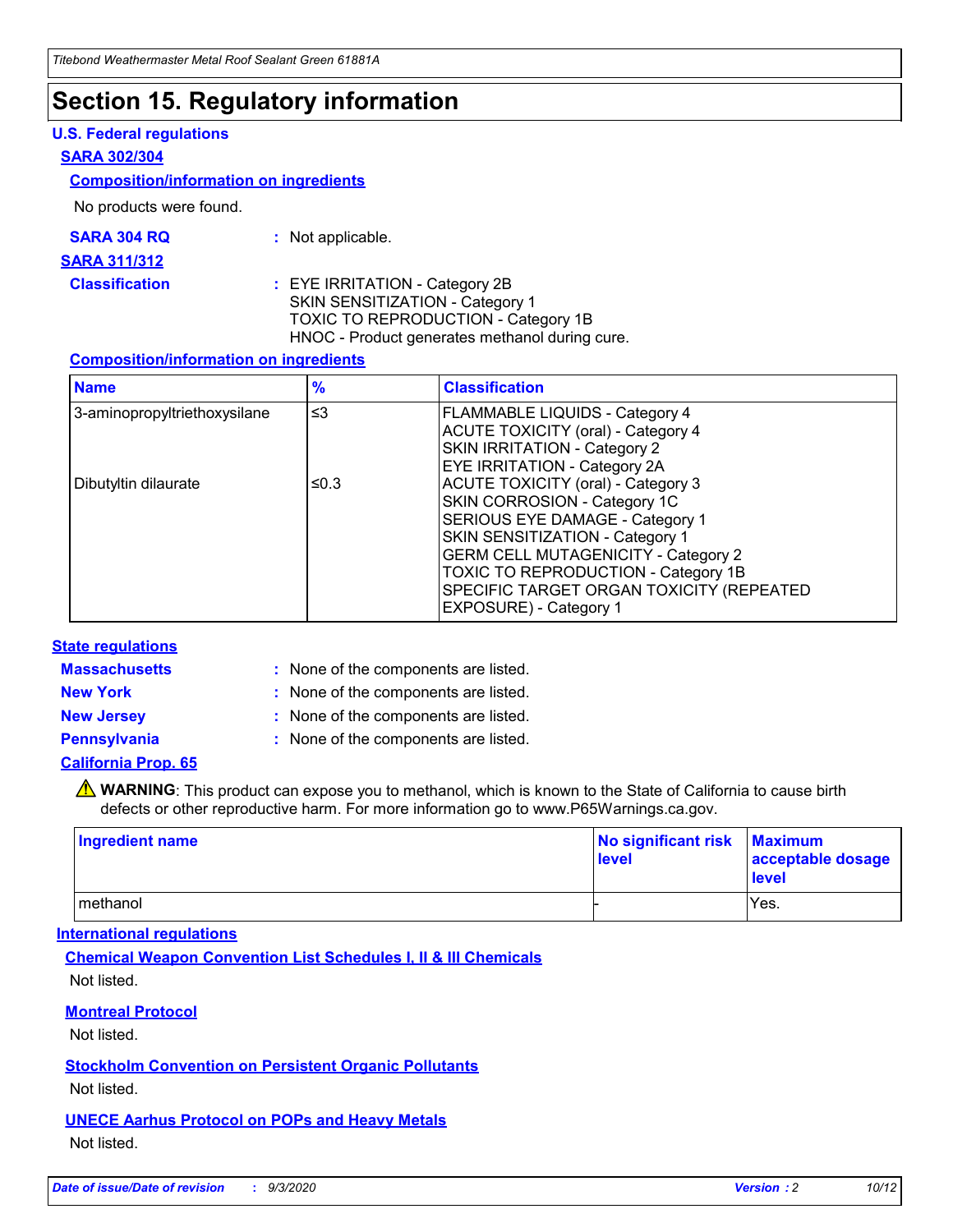### **Section 15. Regulatory information**

#### **U.S. Federal regulations**

#### **SARA 302/304**

#### **Composition/information on ingredients**

No products were found.

| SARA 304 RQ | Not applicable. |
|-------------|-----------------|
|-------------|-----------------|

#### **SARA 311/312**

**Classification :** EYE IRRITATION - Category 2B SKIN SENSITIZATION - Category 1 TOXIC TO REPRODUCTION - Category 1B HNOC - Product generates methanol during cure.

#### **Composition/information on ingredients**

| <b>Name</b>                  | $\frac{9}{6}$ | <b>Classification</b>                                                                                                                                                                                                                                                                                      |
|------------------------------|---------------|------------------------------------------------------------------------------------------------------------------------------------------------------------------------------------------------------------------------------------------------------------------------------------------------------------|
| 3-aminopropyltriethoxysilane | $\leq$ 3      | <b>FLAMMABLE LIQUIDS - Category 4</b><br><b>ACUTE TOXICITY (oral) - Category 4</b><br><b>SKIN IRRITATION - Category 2</b><br>EYE IRRITATION - Category 2A                                                                                                                                                  |
| Dibutyltin dilaurate         | ≤0.3          | <b>ACUTE TOXICITY (oral) - Category 3</b><br>SKIN CORROSION - Category 1C<br>SERIOUS EYE DAMAGE - Category 1<br>SKIN SENSITIZATION - Category 1<br><b>GERM CELL MUTAGENICITY - Category 2</b><br>TOXIC TO REPRODUCTION - Category 1B<br>SPECIFIC TARGET ORGAN TOXICITY (REPEATED<br>EXPOSURE) - Category 1 |

#### **State regulations**

**Massachusetts :**

: None of the components are listed.

**New York :** None of the components are listed. **New Jersey :** None of the components are listed.

**Pennsylvania :** None of the components are listed.

#### **California Prop. 65**

WARNING: This product can expose you to methanol, which is known to the State of California to cause birth defects or other reproductive harm. For more information go to www.P65Warnings.ca.gov.

| Ingredient name | No significant risk<br>level | <b>Maximum</b><br>acceptable dosage<br><b>level</b> |
|-----------------|------------------------------|-----------------------------------------------------|
| l methanol      |                              | Yes.                                                |

#### **International regulations**

**Chemical Weapon Convention List Schedules I, II & III Chemicals** Not listed.

#### **Montreal Protocol**

Not listed.

**Stockholm Convention on Persistent Organic Pollutants**

Not listed.

#### **UNECE Aarhus Protocol on POPs and Heavy Metals** Not listed.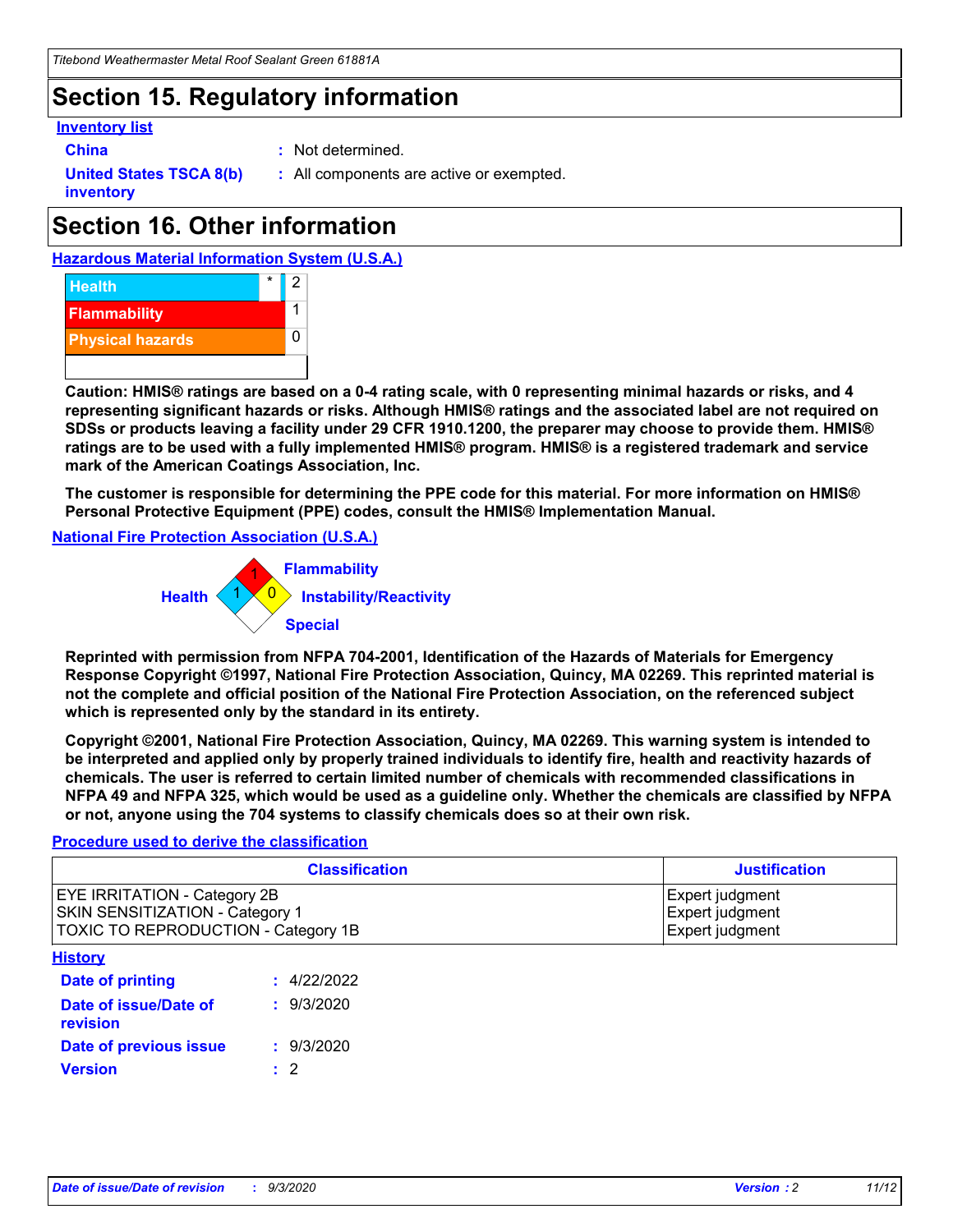### **Section 15. Regulatory information**

#### **Inventory list**

- 
- **China :** Not determined.

**United States TSCA 8(b) inventory**

**:** All components are active or exempted.

# **Section 16. Other information**





**Caution: HMIS® ratings are based on a 0-4 rating scale, with 0 representing minimal hazards or risks, and 4 representing significant hazards or risks. Although HMIS® ratings and the associated label are not required on SDSs or products leaving a facility under 29 CFR 1910.1200, the preparer may choose to provide them. HMIS® ratings are to be used with a fully implemented HMIS® program. HMIS® is a registered trademark and service mark of the American Coatings Association, Inc.**

**The customer is responsible for determining the PPE code for this material. For more information on HMIS® Personal Protective Equipment (PPE) codes, consult the HMIS® Implementation Manual.**

**National Fire Protection Association (U.S.A.)**



**Reprinted with permission from NFPA 704-2001, Identification of the Hazards of Materials for Emergency Response Copyright ©1997, National Fire Protection Association, Quincy, MA 02269. This reprinted material is not the complete and official position of the National Fire Protection Association, on the referenced subject which is represented only by the standard in its entirety.**

**Copyright ©2001, National Fire Protection Association, Quincy, MA 02269. This warning system is intended to be interpreted and applied only by properly trained individuals to identify fire, health and reactivity hazards of chemicals. The user is referred to certain limited number of chemicals with recommended classifications in NFPA 49 and NFPA 325, which would be used as a guideline only. Whether the chemicals are classified by NFPA or not, anyone using the 704 systems to classify chemicals does so at their own risk.**

#### **Procedure used to derive the classification**

| <b>Classification</b>                                                                                                | <b>Justification</b>                                  |
|----------------------------------------------------------------------------------------------------------------------|-------------------------------------------------------|
| <b>EYE IRRITATION - Category 2B</b><br><b>SKIN SENSITIZATION - Category 1</b><br>TOXIC TO REPRODUCTION - Category 1B | Expert judgment<br>Expert judgment<br>Expert judgment |
| <b>History</b>                                                                                                       |                                                       |

| .                                 |             |
|-----------------------------------|-------------|
| <b>Date of printing</b>           | : 4/22/2022 |
| Date of issue/Date of<br>revision | : 9/3/2020  |
| Date of previous issue            | : 9/3/2020  |
| <b>Version</b>                    | $\cdot$ 2   |
|                                   |             |